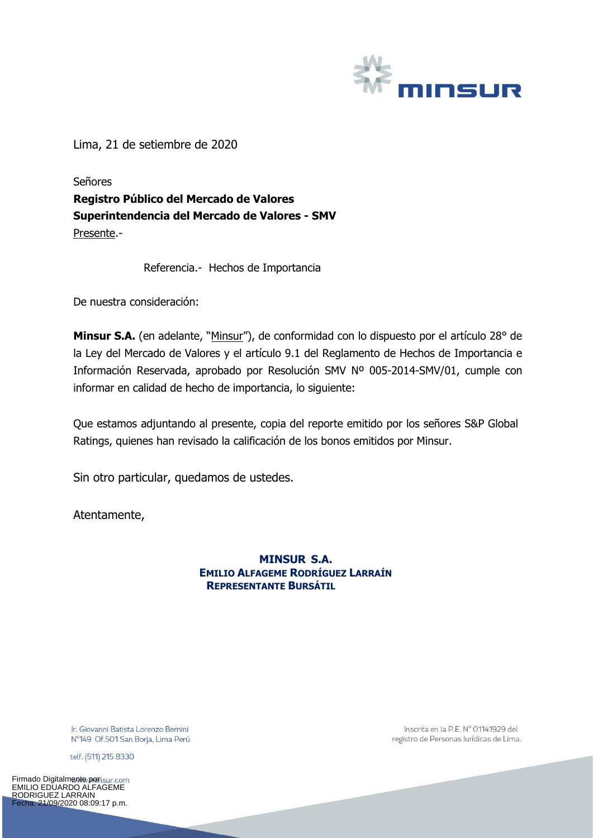

Lima, 21 de setiembre de 2020

Señores **Registro Público del Mercado de Valores Superintendencia del Mercado de Valores - SMV** Presente.-

Referencia.- Hechos de Importancia

De nuestra consideración:

Minsur S.A. (en adelante, "Minsur"), de conformidad con lo dispuesto por el artículo 28° de la Ley del Mercado de Valores y el artículo 9.1 del Reglamento de Hechos de Importancia e Información Reservada, aprobado por Resolución SMV Nº 005-2014-SMV/01, cumple con informar en calidad de hecho de importancia, lo siguiente:

Que estamos adjuntando al presente, copia del reporte emitido por los señores S&P Global Ratings, quienes han revisado la calificación de los bonos emitidos por Minsur.

Sin otro particular, quedamos de ustedes.

Atentamente,

**MINSUR S.A. EMILIO ALFAGEME RODRÍGUEZ LARRAÍN REPRESENTANTE BURSÁTIL**

Ir. Giovanni Batista Lorenzo Bernini Nº149 Of.501 San Borja, Lima Perú

telf. (511) 215 8330

Firmado Digitalmente/portsur.com EMILIO EDUARDO ALFAGEME RODRIGUEZ LARRAIN Fecha: 21/09/2020 08:09:17 p.m.

Inscrita en la P.E. Nº 01141929 del registro de Personas Jurídicas de Lima.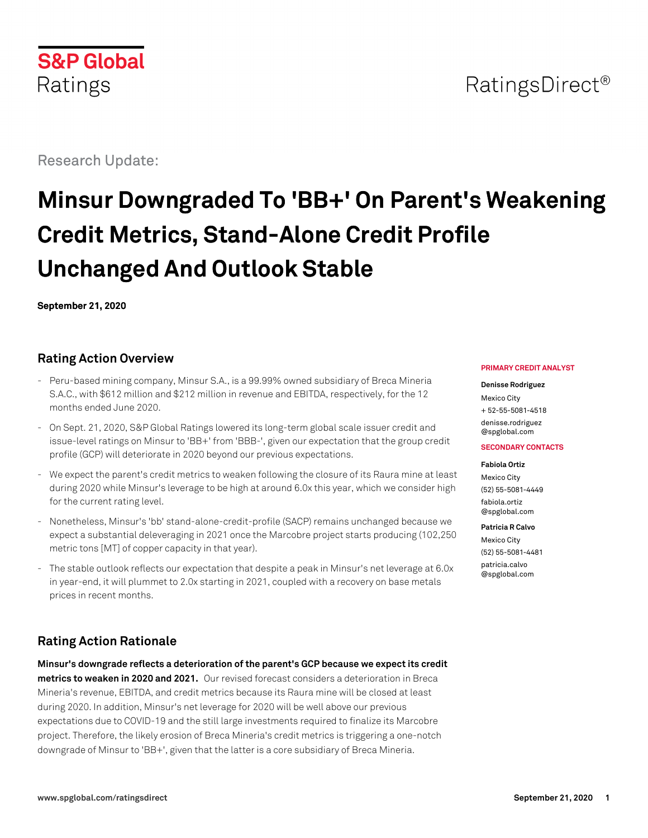

Research Update:

# **Minsur Downgraded To 'BB+' On Parent's Weakening Credit Metrics, Stand-Alone Credit Profile Unchanged And Outlook Stable**

**September 21, 2020**

## **Rating Action Overview**

- Peru-based mining company, Minsur S.A., is a 99.99% owned subsidiary of Breca Mineria S.A.C., with \$612 million and \$212 million in revenue and EBITDA, respectively, for the 12 months ended June 2020.
- On Sept. 21, 2020, S&P Global Ratings lowered its long-term global scale issuer credit and issue-level ratings on Minsur to 'BB+' from 'BBB-', given our expectation that the group credit profile (GCP) will deteriorate in 2020 beyond our previous expectations.
- We expect the parent's credit metrics to weaken following the closure of its Raura mine at least during 2020 while Minsur's leverage to be high at around 6.0x this year, which we consider high for the current rating level.
- Nonetheless, Minsur's 'bb' stand-alone-credit-profile (SACP) remains unchanged because we expect a substantial deleveraging in 2021 once the Marcobre project starts producing (102,250 metric tons [MT] of copper capacity in that year).
- The stable outlook reflects our expectation that despite a peak in Minsur's net leverage at 6.0x in year-end, it will plummet to 2.0x starting in 2021, coupled with a recovery on base metals prices in recent months.

# **Rating Action Rationale**

**Minsur's downgrade reflects a deterioration of the parent's GCP because we expect its credit metrics to weaken in 2020 and 2021.** Our revised forecast considers a deterioration in Breca Mineria's revenue, EBITDA, and credit metrics because its Raura mine will be closed at least during 2020. In addition, Minsur's net leverage for 2020 will be well above our previous expectations due to COVID-19 and the still large investments required to finalize its Marcobre project. Therefore, the likely erosion of Breca Mineria's credit metrics is triggering a one-notch downgrade of Minsur to 'BB+', given that the latter is a core subsidiary of Breca Mineria.

#### **PRIMARY CREDIT ANALYST**

#### **Denisse Rodriguez**

Mexico City + 52-55-5081-4518 [denisse.rodriguez](mailto:denisse.rodriguez@spglobal.com) [@spglobal.com](mailto:denisse.rodriguez@spglobal.com)

#### **SECONDARY CONTACTS**

#### **Fabiola Ortiz**

Mexico City (52) 55-5081-4449 [fabiola.ortiz](mailto:fabiola.ortiz@spglobal.com) [@spglobal.com](mailto:fabiola.ortiz@spglobal.com)

#### **Patricia R Calvo**

Mexico City (52) 55-5081-4481 [patricia.calvo](mailto:patricia.calvo@spglobal.com) [@spglobal.com](mailto:patricia.calvo@spglobal.com)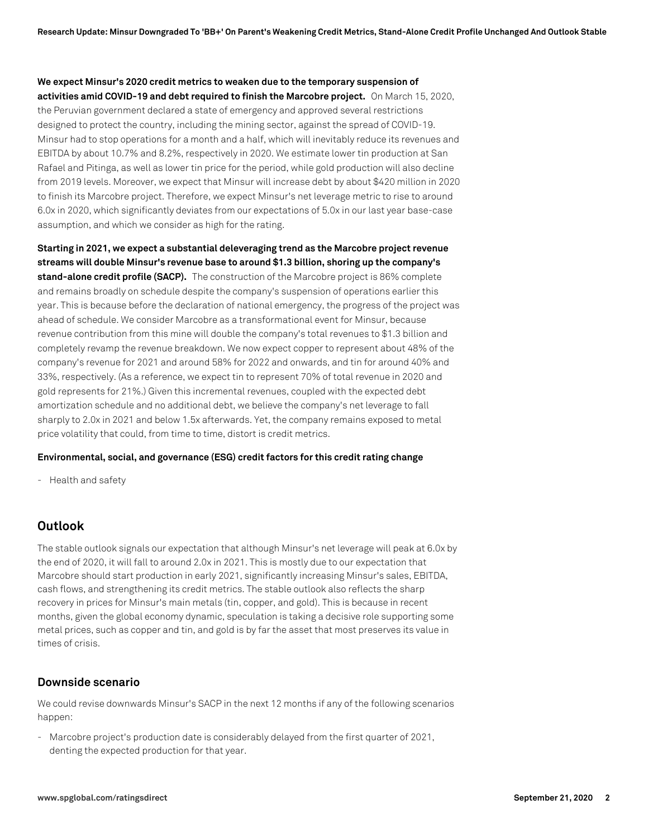## **We expect Minsur's 2020 credit metrics to weaken due to the temporary suspension of activities amid COVID-19 and debt required to finish the Marcobre project.** On March 15, 2020, the Peruvian government declared a state of emergency and approved several restrictions designed to protect the country, including the mining sector, against the spread of COVID-19. Minsur had to stop operations for a month and a half, which will inevitably reduce its revenues and EBITDA by about 10.7% and 8.2%, respectively in 2020. We estimate lower tin production at San Rafael and Pitinga, as well as lower tin price for the period, while gold production will also decline from 2019 levels. Moreover, we expect that Minsur will increase debt by about \$420 million in 2020 to finish its Marcobre project. Therefore, we expect Minsur's net leverage metric to rise to around 6.0x in 2020, which significantly deviates from our expectations of 5.0x in our last year base-case assumption, and which we consider as high for the rating.

**Starting in 2021, we expect a substantial deleveraging trend as the Marcobre project revenue streams will double Minsur's revenue base to around \$1.3 billion, shoring up the company's stand-alone credit profile (SACP).** The construction of the Marcobre project is 86% complete and remains broadly on schedule despite the company's suspension of operations earlier this year. This is because before the declaration of national emergency, the progress of the project was ahead of schedule. We consider Marcobre as a transformational event for Minsur, because revenue contribution from this mine will double the company's total revenues to \$1.3 billion and completely revamp the revenue breakdown. We now expect copper to represent about 48% of the company's revenue for 2021 and around 58% for 2022 and onwards, and tin for around 40% and 33%, respectively. (As a reference, we expect tin to represent 70% of total revenue in 2020 and gold represents for 21%.) Given this incremental revenues, coupled with the expected debt amortization schedule and no additional debt, we believe the company's net leverage to fall sharply to 2.0x in 2021 and below 1.5x afterwards. Yet, the company remains exposed to metal price volatility that could, from time to time, distort is credit metrics.

#### **Environmental, social, and governance (ESG) credit factors for this credit rating change**

- Health and safety

### **Outlook**

The stable outlook signals our expectation that although Minsur's net leverage will peak at 6.0x by the end of 2020, it will fall to around 2.0x in 2021. This is mostly due to our expectation that Marcobre should start production in early 2021, significantly increasing Minsur's sales, EBITDA, cash flows, and strengthening its credit metrics. The stable outlook also reflects the sharp recovery in prices for Minsur's main metals (tin, copper, and gold). This is because in recent months, given the global economy dynamic, speculation is taking a decisive role supporting some metal prices, such as copper and tin, and gold is by far the asset that most preserves its value in times of crisis.

#### **Downside scenario**

We could revise downwards Minsur's SACP in the next 12 months if any of the following scenarios happen:

- Marcobre project's production date is considerably delayed from the first quarter of 2021, denting the expected production for that year.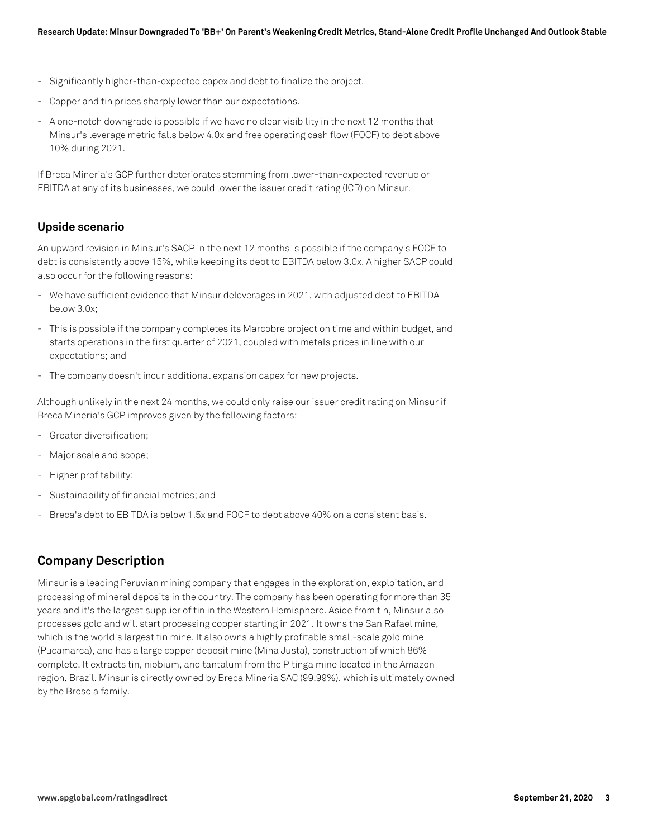- Significantly higher-than-expected capex and debt to finalize the project.
- Copper and tin prices sharply lower than our expectations.
- A one-notch downgrade is possible if we have no clear visibility in the next 12 months that Minsur's leverage metric falls below 4.0x and free operating cash flow (FOCF) to debt above 10% during 2021.

If Breca Mineria's GCP further deteriorates stemming from lower-than-expected revenue or EBITDA at any of its businesses, we could lower the issuer credit rating (ICR) on Minsur.

### **Upside scenario**

An upward revision in Minsur's SACP in the next 12 months is possible if the company's FOCF to debt is consistently above 15%, while keeping its debt to EBITDA below 3.0x. A higher SACP could also occur for the following reasons:

- We have sufficient evidence that Minsur deleverages in 2021, with adjusted debt to EBITDA below 3.0x;
- This is possible if the company completes its Marcobre project on time and within budget, and starts operations in the first quarter of 2021, coupled with metals prices in line with our expectations; and
- The company doesn't incur additional expansion capex for new projects.

Although unlikely in the next 24 months, we could only raise our issuer credit rating on Minsur if Breca Mineria's GCP improves given by the following factors:

- Greater diversification;
- Major scale and scope;
- Higher profitability;
- Sustainability of financial metrics; and
- Breca's debt to EBITDA is below 1.5x and FOCF to debt above 40% on a consistent basis.

## **Company Description**

Minsur is a leading Peruvian mining company that engages in the exploration, exploitation, and processing of mineral deposits in the country. The company has been operating for more than 35 years and it's the largest supplier of tin in the Western Hemisphere. Aside from tin, Minsur also processes gold and will start processing copper starting in 2021. It owns the San Rafael mine, which is the world's largest tin mine. It also owns a highly profitable small-scale gold mine (Pucamarca), and has a large copper deposit mine (Mina Justa), construction of which 86% complete. It extracts tin, niobium, and tantalum from the Pitinga mine located in the Amazon region, Brazil. Minsur is directly owned by Breca Mineria SAC (99.99%), which is ultimately owned by the Brescia family.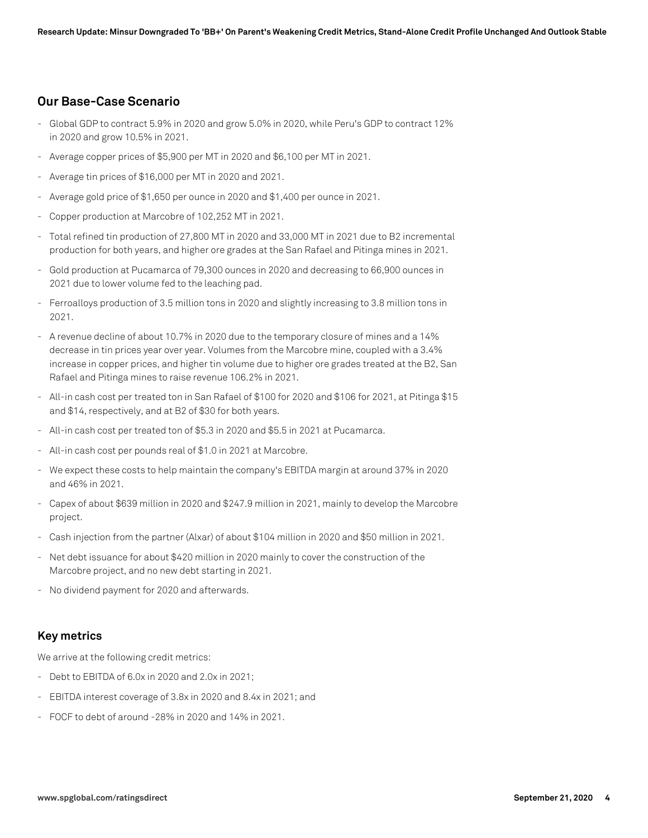## **Our Base-Case Scenario**

- Global GDP to contract 5.9% in 2020 and grow 5.0% in 2020, while Peru's GDP to contract 12% in 2020 and grow 10.5% in 2021.
- Average copper prices of \$5,900 per MT in 2020 and \$6,100 per MT in 2021.
- Average tin prices of \$16,000 per MT in 2020 and 2021.
- Average gold price of \$1,650 per ounce in 2020 and \$1,400 per ounce in 2021.
- Copper production at Marcobre of 102,252 MT in 2021.
- Total refined tin production of 27,800 MT in 2020 and 33,000 MT in 2021 due to B2 incremental production for both years, and higher ore grades at the San Rafael and Pitinga mines in 2021.
- Gold production at Pucamarca of 79,300 ounces in 2020 and decreasing to 66,900 ounces in 2021 due to lower volume fed to the leaching pad.
- Ferroalloys production of 3.5 million tons in 2020 and slightly increasing to 3.8 million tons in 2021.
- A revenue decline of about 10.7% in 2020 due to the temporary closure of mines and a 14% decrease in tin prices year over year. Volumes from the Marcobre mine, coupled with a 3.4% increase in copper prices, and higher tin volume due to higher ore grades treated at the B2, San Rafael and Pitinga mines to raise revenue 106.2% in 2021.
- All-in cash cost per treated ton in San Rafael of \$100 for 2020 and \$106 for 2021, at Pitinga \$15 and \$14, respectively, and at B2 of \$30 for both years.
- All-in cash cost per treated ton of \$5.3 in 2020 and \$5.5 in 2021 at Pucamarca.
- All-in cash cost per pounds real of \$1.0 in 2021 at Marcobre.
- We expect these costs to help maintain the company's EBITDA margin at around 37% in 2020 and 46% in 2021.
- Capex of about \$639 million in 2020 and \$247.9 million in 2021, mainly to develop the Marcobre project.
- Cash injection from the partner (Alxar) of about \$104 million in 2020 and \$50 million in 2021.
- Net debt issuance for about \$420 million in 2020 mainly to cover the construction of the Marcobre project, and no new debt starting in 2021.
- No dividend payment for 2020 and afterwards.

#### **Key metrics**

We arrive at the following credit metrics:

- Debt to EBITDA of 6.0x in 2020 and 2.0x in 2021;
- EBITDA interest coverage of 3.8x in 2020 and 8.4x in 2021; and
- FOCF to debt of around -28% in 2020 and 14% in 2021.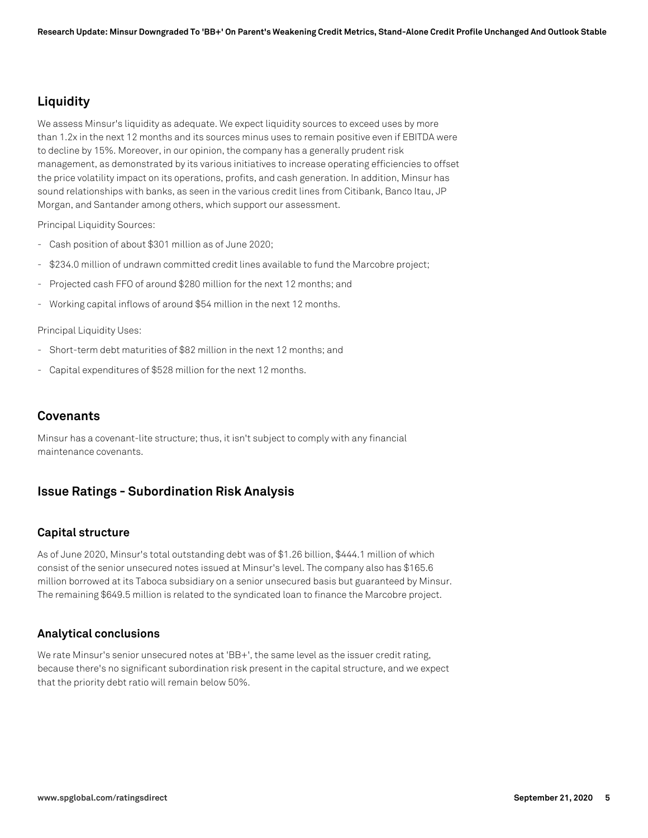## **Liquidity**

We assess Minsur's liquidity as adequate. We expect liquidity sources to exceed uses by more than 1.2x in the next 12 months and its sources minus uses to remain positive even if EBITDA were to decline by 15%. Moreover, in our opinion, the company has a generally prudent risk management, as demonstrated by its various initiatives to increase operating efficiencies to offset the price volatility impact on its operations, profits, and cash generation. In addition, Minsur has sound relationships with banks, as seen in the various credit lines from Citibank, Banco Itau, JP Morgan, and Santander among others, which support our assessment.

Principal Liquidity Sources:

- Cash position of about \$301 million as of June 2020;
- \$234.0 million of undrawn committed credit lines available to fund the Marcobre project;
- Projected cash FFO of around \$280 million for the next 12 months; and
- Working capital inflows of around \$54 million in the next 12 months.

Principal Liquidity Uses:

- Short-term debt maturities of \$82 million in the next 12 months; and
- Capital expenditures of \$528 million for the next 12 months.

## **Covenants**

Minsur has a covenant-lite structure; thus, it isn't subject to comply with any financial maintenance covenants.

## **Issue Ratings - Subordination Risk Analysis**

#### **Capital structure**

As of June 2020, Minsur's total outstanding debt was of \$1.26 billion, \$444.1 million of which consist of the senior unsecured notes issued at Minsur's level. The company also has \$165.6 million borrowed at its Taboca subsidiary on a senior unsecured basis but guaranteed by Minsur. The remaining \$649.5 million is related to the syndicated loan to finance the Marcobre project.

#### **Analytical conclusions**

We rate Minsur's senior unsecured notes at 'BB+', the same level as the issuer credit rating, because there's no significant subordination risk present in the capital structure, and we expect that the priority debt ratio will remain below 50%.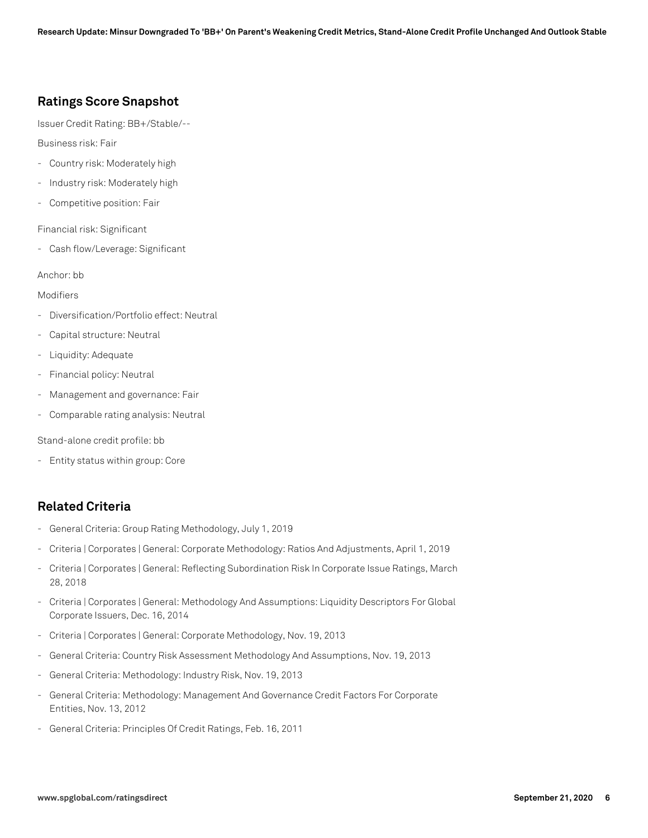## **Ratings Score Snapshot**

Issuer Credit Rating: BB+/Stable/--

Business risk: Fair

- Country risk: Moderately high
- Industry risk: Moderately high
- Competitive position: Fair

Financial risk: Significant

- Cash flow/Leverage: Significant

Anchor: bb

Modifiers

- Diversification/Portfolio effect: Neutral
- Capital structure: Neutral
- Liquidity: Adequate
- Financial policy: Neutral
- Management and governance: Fair
- Comparable rating analysis: Neutral

Stand-alone credit profile: bb

- Entity status within group: Core

## **Related Criteria**

- General Criteria: Group Rating Methodology, July 1, 2019
- Criteria | Corporates | General: Corporate Methodology: Ratios And Adjustments, April 1, 2019
- Criteria | Corporates | General: Reflecting Subordination Risk In Corporate Issue Ratings, March 28, 2018
- Criteria | Corporates | General: Methodology And Assumptions: Liquidity Descriptors For Global Corporate Issuers, Dec. 16, 2014
- Criteria | Corporates | General: Corporate Methodology, Nov. 19, 2013
- General Criteria: Country Risk Assessment Methodology And Assumptions, Nov. 19, 2013
- General Criteria: Methodology: Industry Risk, Nov. 19, 2013
- General Criteria: Methodology: Management And Governance Credit Factors For Corporate Entities, Nov. 13, 2012
- General Criteria: Principles Of Credit Ratings, Feb. 16, 2011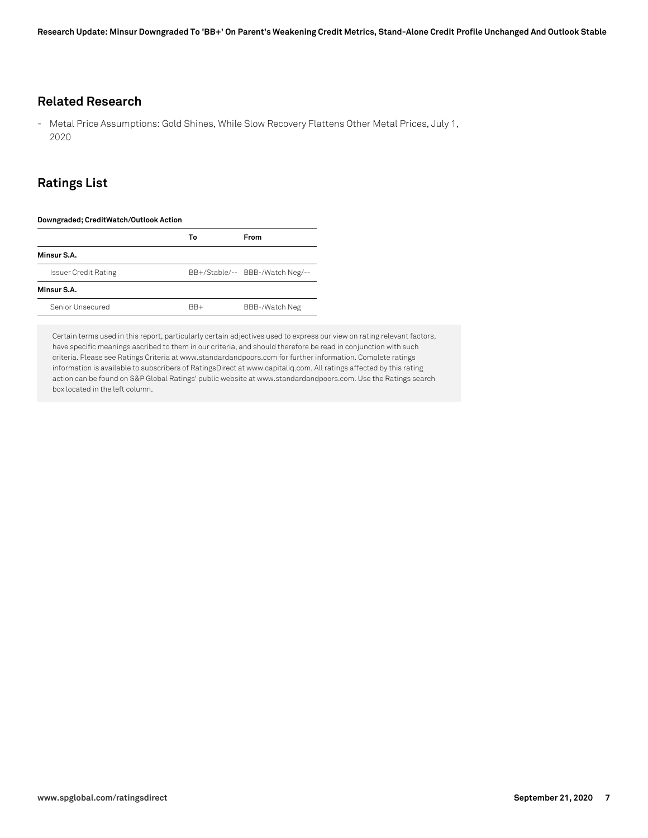## **Related Research**

- Metal Price Assumptions: Gold Shines, While Slow Recovery Flattens Other Metal Prices, July 1, 2020

## **Ratings List**

#### **Downgraded; CreditWatch/Outlook Action**

|                             | Т٥    | <b>From</b>                     |
|-----------------------------|-------|---------------------------------|
| Minsur S.A.                 |       |                                 |
| <b>Issuer Credit Rating</b> |       | BB+/Stable/-- BBB-/Watch Neg/-- |
| Minsur S.A.                 |       |                                 |
| Senior Unsecured            | $BR+$ | BBB-/Watch Neg                  |

Certain terms used in this report, particularly certain adjectives used to express our view on rating relevant factors, have specific meanings ascribed to them in our criteria, and should therefore be read in conjunction with such criteria. Please see Ratings Criteria at www.standardandpoors.com for further information. Complete ratings information is available to subscribers of RatingsDirect at www.capitaliq.com. All ratings affected by this rating action can be found on S&P Global Ratings' public website at www.standardandpoors.com. Use the Ratings search box located in the left column.